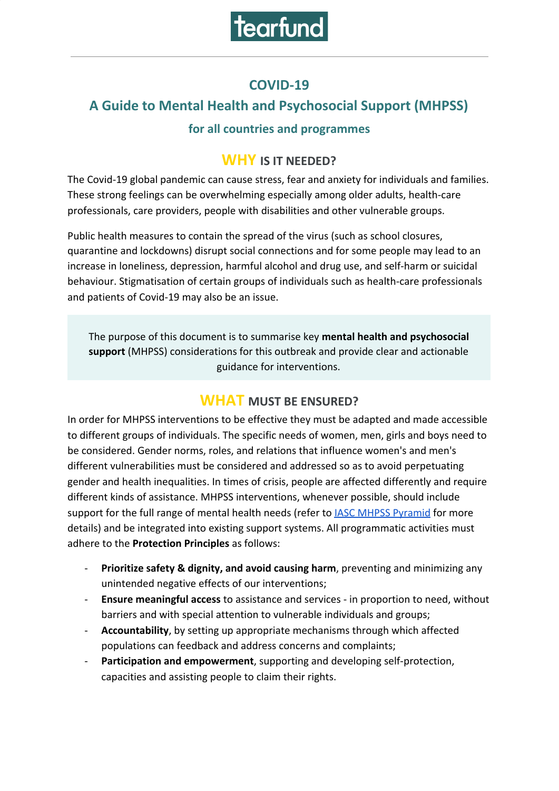

## **COVID-19**

# **A Guide to Mental Health and Psychosocial Support (MHPSS)**

#### **for all countries and programmes**

#### **WHY IS IT NEEDED?**

The Covid-19 global pandemic can cause stress, fear and anxiety for individuals and families. These strong feelings can be overwhelming especially among older adults, health-care professionals, care providers, people with disabilities and other vulnerable groups.

Public health measures to contain the spread of the virus (such as school closures, quarantine and lockdowns) disrupt social connections and for some people may lead to an increase in loneliness, depression, harmful alcohol and drug use, and self-harm or suicidal behaviour. Stigmatisation of certain groups of individuals such as health-care professionals and patients of Covid-19 may also be an issue.

The purpose of this document is to summarise key **mental health and psychosocial support** (MHPSS) considerations for this outbreak and provide clear and actionable guidance for interventions.

## **WHAT MUST BE ENSURED?**

In order for MHPSS interventions to be effective they must be adapted and made accessible to different groups of individuals. The specific needs of women, men, girls and boys need to be considered. Gender norms, roles, and relations that influence women's and men's different vulnerabilities must be considered and addressed so as to avoid perpetuating gender and health inequalities. In times of crisis, people are affected differently and require different kinds of assistance. MHPSS interventions, whenever possible, should include support for the full range of mental health needs (refer to **[IASC MHPSS Pyramid](https://www.who.int/mental_health/emergencies/guidelines_iasc_mental_health_psychosocial_june_2007.pdf)** for more details) and be integrated into existing support systems. All programmatic activities must adhere to the **[Protection Principles](https://www.globalprotectioncluster.org/themes/protection-mainstreaming/)** as follows:

- Prioritize safety & dignity, and avoid causing harm, preventing and minimizing any unintended negative effects of our interventions;
- **Ensure meaningful access** to assistance and services in proportion to need, without barriers and with special attention to vulnerable individuals and groups;
- **Accountability**, by setting up appropriate mechanisms through which affected populations can feedback and address concerns and complaints;
- Participation and empowerment, supporting and developing self-protection, capacities and assisting people to claim their rights.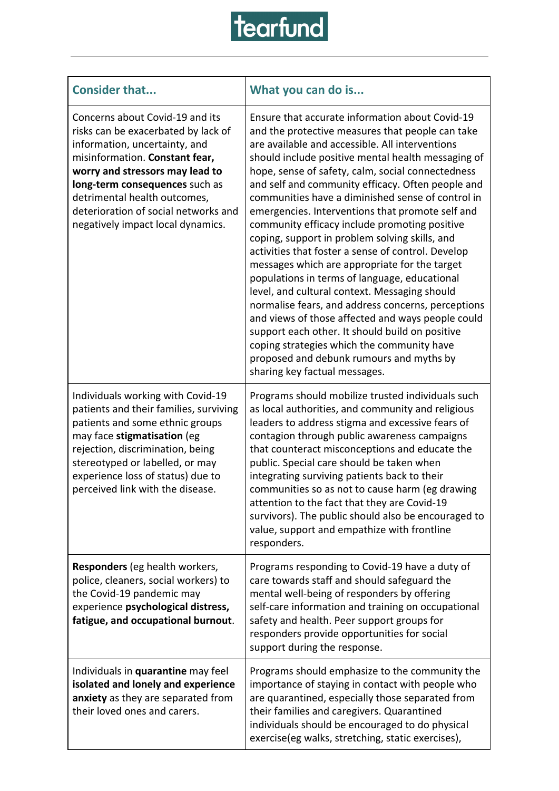

| <b>Consider that</b>                                                                                                                                                                                                                                                                                                        | What you can do is                                                                                                                                                                                                                                                                                                                                                                                                                                                                                                                                                                                                                                                                                                                                                                                                                                                                                                                                                                                                                   |
|-----------------------------------------------------------------------------------------------------------------------------------------------------------------------------------------------------------------------------------------------------------------------------------------------------------------------------|--------------------------------------------------------------------------------------------------------------------------------------------------------------------------------------------------------------------------------------------------------------------------------------------------------------------------------------------------------------------------------------------------------------------------------------------------------------------------------------------------------------------------------------------------------------------------------------------------------------------------------------------------------------------------------------------------------------------------------------------------------------------------------------------------------------------------------------------------------------------------------------------------------------------------------------------------------------------------------------------------------------------------------------|
| Concerns about Covid-19 and its<br>risks can be exacerbated by lack of<br>information, uncertainty, and<br>misinformation. Constant fear,<br>worry and stressors may lead to<br>long-term consequences such as<br>detrimental health outcomes,<br>deterioration of social networks and<br>negatively impact local dynamics. | Ensure that accurate information about Covid-19<br>and the protective measures that people can take<br>are available and accessible. All interventions<br>should include positive mental health messaging of<br>hope, sense of safety, calm, social connectedness<br>and self and community efficacy. Often people and<br>communities have a diminished sense of control in<br>emergencies. Interventions that promote self and<br>community efficacy include promoting positive<br>coping, support in problem solving skills, and<br>activities that foster a sense of control. Develop<br>messages which are appropriate for the target<br>populations in terms of language, educational<br>level, and cultural context. Messaging should<br>normalise fears, and address concerns, perceptions<br>and views of those affected and ways people could<br>support each other. It should build on positive<br>coping strategies which the community have<br>proposed and debunk rumours and myths by<br>sharing key factual messages. |
| Individuals working with Covid-19<br>patients and their families, surviving<br>patients and some ethnic groups<br>may face stigmatisation (eg<br>rejection, discrimination, being<br>stereotyped or labelled, or may<br>experience loss of status) due to<br>perceived link with the disease.                               | Programs should mobilize trusted individuals such<br>as local authorities, and community and religious<br>leaders to address stigma and excessive fears of<br>contagion through public awareness campaigns<br>that counteract misconceptions and educate the<br>public. Special care should be taken when<br>integrating surviving patients back to their<br>communities so as not to cause harm (eg drawing<br>attention to the fact that they are Covid-19<br>survivors). The public should also be encouraged to<br>value, support and empathize with frontline<br>responders.                                                                                                                                                                                                                                                                                                                                                                                                                                                    |
| <b>Responders</b> (eg health workers,<br>police, cleaners, social workers) to<br>the Covid-19 pandemic may<br>experience psychological distress,<br>fatigue, and occupational burnout.                                                                                                                                      | Programs responding to Covid-19 have a duty of<br>care towards staff and should safeguard the<br>mental well-being of responders by offering<br>self-care information and training on occupational<br>safety and health. Peer support groups for<br>responders provide opportunities for social<br>support during the response.                                                                                                                                                                                                                                                                                                                                                                                                                                                                                                                                                                                                                                                                                                      |
| Individuals in quarantine may feel<br>isolated and lonely and experience<br>anxiety as they are separated from<br>their loved ones and carers.                                                                                                                                                                              | Programs should emphasize to the community the<br>importance of staying in contact with people who<br>are quarantined, especially those separated from<br>their families and caregivers. Quarantined<br>individuals should be encouraged to do physical<br>exercise(eg walks, stretching, static exercises),                                                                                                                                                                                                                                                                                                                                                                                                                                                                                                                                                                                                                                                                                                                         |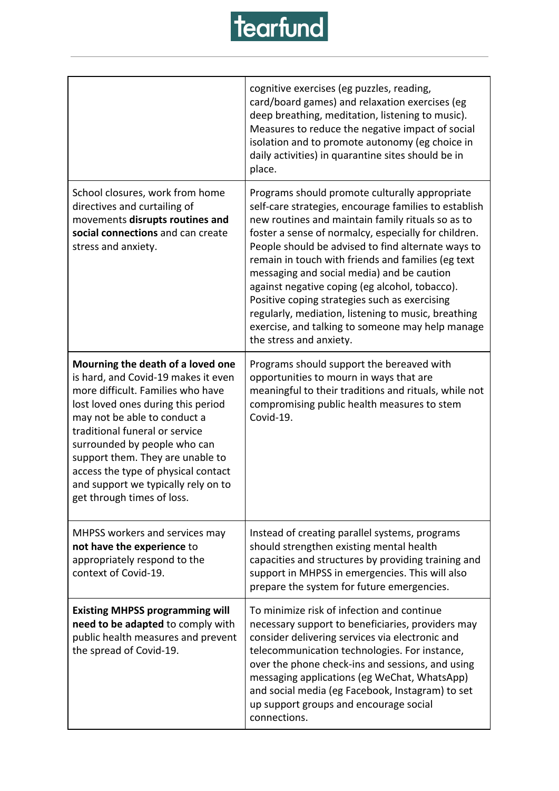

|                                                                                                                                                                                                                                                                                                                                                                                                       | cognitive exercises (eg puzzles, reading,<br>card/board games) and relaxation exercises (eg<br>deep breathing, meditation, listening to music).<br>Measures to reduce the negative impact of social<br>isolation and to promote autonomy (eg choice in<br>daily activities) in quarantine sites should be in<br>place.                                                                                                                                                                                                                                                                                                  |
|-------------------------------------------------------------------------------------------------------------------------------------------------------------------------------------------------------------------------------------------------------------------------------------------------------------------------------------------------------------------------------------------------------|-------------------------------------------------------------------------------------------------------------------------------------------------------------------------------------------------------------------------------------------------------------------------------------------------------------------------------------------------------------------------------------------------------------------------------------------------------------------------------------------------------------------------------------------------------------------------------------------------------------------------|
| School closures, work from home<br>directives and curtailing of<br>movements disrupts routines and<br>social connections and can create<br>stress and anxiety.                                                                                                                                                                                                                                        | Programs should promote culturally appropriate<br>self-care strategies, encourage families to establish<br>new routines and maintain family rituals so as to<br>foster a sense of normalcy, especially for children.<br>People should be advised to find alternate ways to<br>remain in touch with friends and families (eg text<br>messaging and social media) and be caution<br>against negative coping (eg alcohol, tobacco).<br>Positive coping strategies such as exercising<br>regularly, mediation, listening to music, breathing<br>exercise, and talking to someone may help manage<br>the stress and anxiety. |
| Mourning the death of a loved one<br>is hard, and Covid-19 makes it even<br>more difficult. Families who have<br>lost loved ones during this period<br>may not be able to conduct a<br>traditional funeral or service<br>surrounded by people who can<br>support them. They are unable to<br>access the type of physical contact<br>and support we typically rely on to<br>get through times of loss. | Programs should support the bereaved with<br>opportunities to mourn in ways that are<br>meaningful to their traditions and rituals, while not<br>compromising public health measures to stem<br>Covid-19.                                                                                                                                                                                                                                                                                                                                                                                                               |
| MHPSS workers and services may<br>not have the experience to<br>appropriately respond to the<br>context of Covid-19.                                                                                                                                                                                                                                                                                  | Instead of creating parallel systems, programs<br>should strengthen existing mental health<br>capacities and structures by providing training and<br>support in MHPSS in emergencies. This will also<br>prepare the system for future emergencies.                                                                                                                                                                                                                                                                                                                                                                      |
| <b>Existing MHPSS programming will</b><br>need to be adapted to comply with<br>public health measures and prevent<br>the spread of Covid-19.                                                                                                                                                                                                                                                          | To minimize risk of infection and continue<br>necessary support to beneficiaries, providers may<br>consider delivering services via electronic and<br>telecommunication technologies. For instance,<br>over the phone check-ins and sessions, and using<br>messaging applications (eg WeChat, WhatsApp)<br>and social media (eg Facebook, Instagram) to set<br>up support groups and encourage social<br>connections.                                                                                                                                                                                                   |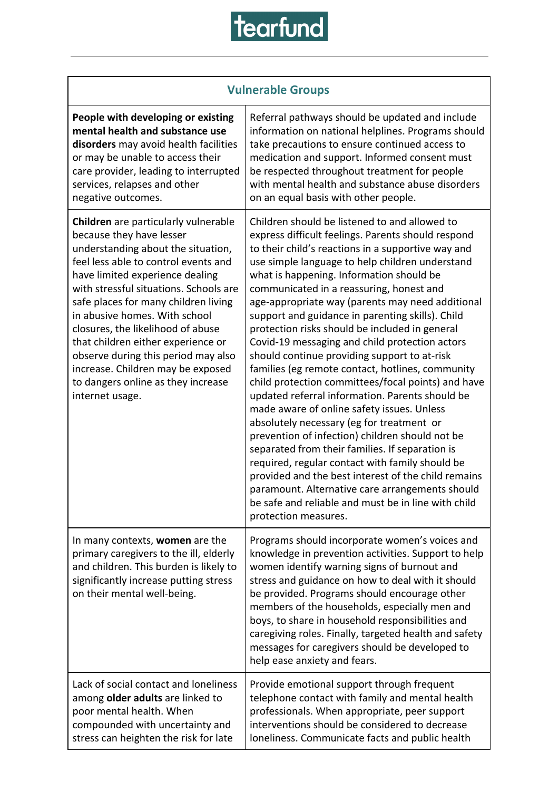# tearfund

| <b>Vulnerable Groups</b>                                                                                                                                                                                                                                                                                                                                                                                                                                                                                             |                                                                                                                                                                                                                                                                                                                                                                                                                                                                                                                                                                                                                                                                                                                                                                                                                                                                                                                                                                                                                                                                                                                                                                            |  |
|----------------------------------------------------------------------------------------------------------------------------------------------------------------------------------------------------------------------------------------------------------------------------------------------------------------------------------------------------------------------------------------------------------------------------------------------------------------------------------------------------------------------|----------------------------------------------------------------------------------------------------------------------------------------------------------------------------------------------------------------------------------------------------------------------------------------------------------------------------------------------------------------------------------------------------------------------------------------------------------------------------------------------------------------------------------------------------------------------------------------------------------------------------------------------------------------------------------------------------------------------------------------------------------------------------------------------------------------------------------------------------------------------------------------------------------------------------------------------------------------------------------------------------------------------------------------------------------------------------------------------------------------------------------------------------------------------------|--|
| People with developing or existing<br>mental health and substance use<br>disorders may avoid health facilities<br>or may be unable to access their<br>care provider, leading to interrupted<br>services, relapses and other<br>negative outcomes.                                                                                                                                                                                                                                                                    | Referral pathways should be updated and include<br>information on national helplines. Programs should<br>take precautions to ensure continued access to<br>medication and support. Informed consent must<br>be respected throughout treatment for people<br>with mental health and substance abuse disorders<br>on an equal basis with other people.                                                                                                                                                                                                                                                                                                                                                                                                                                                                                                                                                                                                                                                                                                                                                                                                                       |  |
| Children are particularly vulnerable<br>because they have lesser<br>understanding about the situation,<br>feel less able to control events and<br>have limited experience dealing<br>with stressful situations. Schools are<br>safe places for many children living<br>in abusive homes. With school<br>closures, the likelihood of abuse<br>that children either experience or<br>observe during this period may also<br>increase. Children may be exposed<br>to dangers online as they increase<br>internet usage. | Children should be listened to and allowed to<br>express difficult feelings. Parents should respond<br>to their child's reactions in a supportive way and<br>use simple language to help children understand<br>what is happening. Information should be<br>communicated in a reassuring, honest and<br>age-appropriate way (parents may need additional<br>support and guidance in parenting skills). Child<br>protection risks should be included in general<br>Covid-19 messaging and child protection actors<br>should continue providing support to at-risk<br>families (eg remote contact, hotlines, community<br>child protection committees/focal points) and have<br>updated referral information. Parents should be<br>made aware of online safety issues. Unless<br>absolutely necessary (eg for treatment or<br>prevention of infection) children should not be<br>separated from their families. If separation is<br>required, regular contact with family should be<br>provided and the best interest of the child remains<br>paramount. Alternative care arrangements should<br>be safe and reliable and must be in line with child<br>protection measures. |  |
| In many contexts, women are the<br>primary caregivers to the ill, elderly<br>and children. This burden is likely to<br>significantly increase putting stress<br>on their mental well-being.                                                                                                                                                                                                                                                                                                                          | Programs should incorporate women's voices and<br>knowledge in prevention activities. Support to help<br>women identify warning signs of burnout and<br>stress and guidance on how to deal with it should<br>be provided. Programs should encourage other<br>members of the households, especially men and<br>boys, to share in household responsibilities and<br>caregiving roles. Finally, targeted health and safety<br>messages for caregivers should be developed to<br>help ease anxiety and fears.                                                                                                                                                                                                                                                                                                                                                                                                                                                                                                                                                                                                                                                                  |  |
| Lack of social contact and loneliness<br>among older adults are linked to<br>poor mental health. When<br>compounded with uncertainty and<br>stress can heighten the risk for late                                                                                                                                                                                                                                                                                                                                    | Provide emotional support through frequent<br>telephone contact with family and mental health<br>professionals. When appropriate, peer support<br>interventions should be considered to decrease<br>loneliness. Communicate facts and public health                                                                                                                                                                                                                                                                                                                                                                                                                                                                                                                                                                                                                                                                                                                                                                                                                                                                                                                        |  |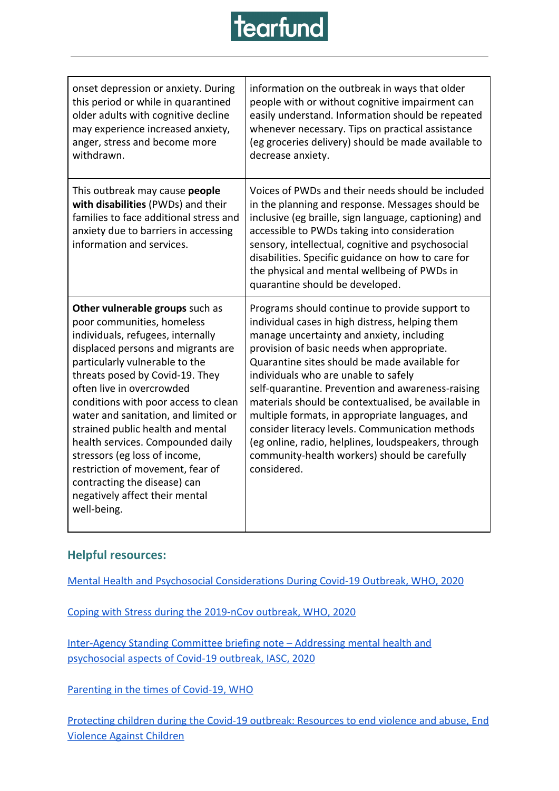

| onset depression or anxiety. During<br>this period or while in quarantined<br>older adults with cognitive decline<br>may experience increased anxiety,<br>anger, stress and become more<br>withdrawn.                                                                                                                                                                                                                                                                                                                                                      | information on the outbreak in ways that older<br>people with or without cognitive impairment can<br>easily understand. Information should be repeated<br>whenever necessary. Tips on practical assistance<br>(eg groceries delivery) should be made available to<br>decrease anxiety.                                                                                                                                                                                                                                                                                                                                         |
|------------------------------------------------------------------------------------------------------------------------------------------------------------------------------------------------------------------------------------------------------------------------------------------------------------------------------------------------------------------------------------------------------------------------------------------------------------------------------------------------------------------------------------------------------------|--------------------------------------------------------------------------------------------------------------------------------------------------------------------------------------------------------------------------------------------------------------------------------------------------------------------------------------------------------------------------------------------------------------------------------------------------------------------------------------------------------------------------------------------------------------------------------------------------------------------------------|
| This outbreak may cause people<br>with disabilities (PWDs) and their<br>families to face additional stress and<br>anxiety due to barriers in accessing<br>information and services.                                                                                                                                                                                                                                                                                                                                                                        | Voices of PWDs and their needs should be included<br>in the planning and response. Messages should be<br>inclusive (eg braille, sign language, captioning) and<br>accessible to PWDs taking into consideration<br>sensory, intellectual, cognitive and psychosocial<br>disabilities. Specific guidance on how to care for<br>the physical and mental wellbeing of PWDs in<br>quarantine should be developed.                                                                                                                                                                                                                   |
| Other vulnerable groups such as<br>poor communities, homeless<br>individuals, refugees, internally<br>displaced persons and migrants are<br>particularly vulnerable to the<br>threats posed by Covid-19. They<br>often live in overcrowded<br>conditions with poor access to clean<br>water and sanitation, and limited or<br>strained public health and mental<br>health services. Compounded daily<br>stressors (eg loss of income,<br>restriction of movement, fear of<br>contracting the disease) can<br>negatively affect their mental<br>well-being. | Programs should continue to provide support to<br>individual cases in high distress, helping them<br>manage uncertainty and anxiety, including<br>provision of basic needs when appropriate.<br>Quarantine sites should be made available for<br>individuals who are unable to safely<br>self-quarantine. Prevention and awareness-raising<br>materials should be contextualised, be available in<br>multiple formats, in appropriate languages, and<br>consider literacy levels. Communication methods<br>(eg online, radio, helplines, loudspeakers, through<br>community-health workers) should be carefully<br>considered. |

#### **Helpful resources:**

[Mental Health and Psychosocial Considerations During Covid-19 Outbreak, WHO, 2020](https://www.who.int/docs/default-source/coronaviruse/mental-health-considerations.pdf?sfvrsn=6d3578af_10&ua=1)

[Coping with Stress during the 2019-nCov outbreak, WHO, 2020](https://www.who.int/docs/default-source/coronaviruse/coping-with-stress.pdf?sfvrsn=9845bc3a_2&ua=1)

[Inter-Agency Standing Committee briefing note – Addressing mental health and](https://interagencystandingcommittee.org/iasc-reference-group-mental-health-and-psychosocial-support-emergency-settings/interim-briefing) [psychosocial aspects of Covid-19 outbreak, IASC, 2020](https://interagencystandingcommittee.org/iasc-reference-group-mental-health-and-psychosocial-support-emergency-settings/interim-briefing)

[Parenting in the times of Covid-19, WHO](https://www.who.int/emergencies/diseases/novel-coronavirus-2019/advice-for-public/healthy-parenting)

[Protecting children during the Covid-19 outbreak: Resources to end violence and abuse, End](https://www.end-violence.org/protecting-children-during-covid-19-outbreak) [Violence Against Children](https://www.end-violence.org/protecting-children-during-covid-19-outbreak)